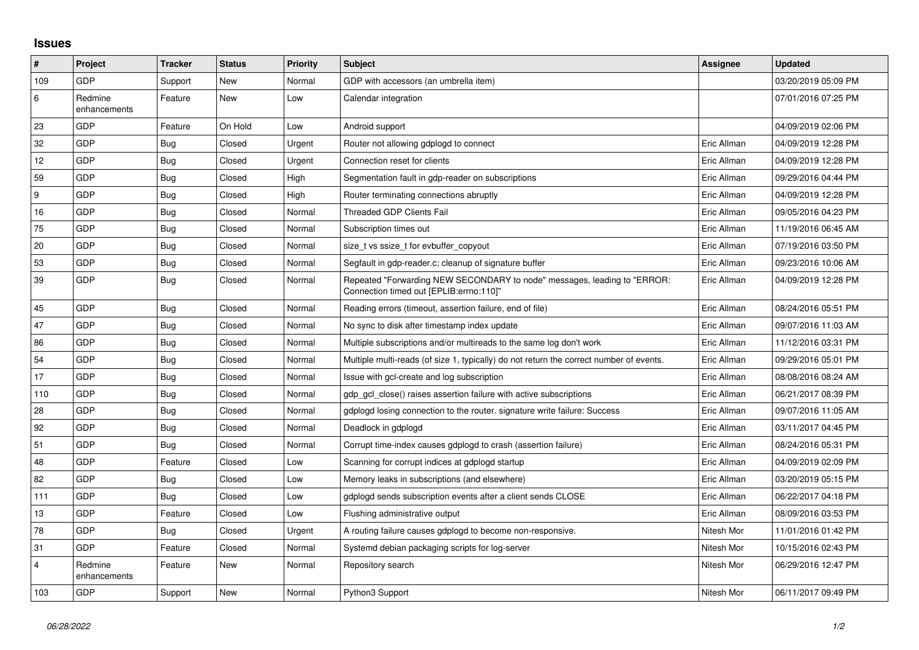## **Issues**

| $\pmb{\#}$              | Project                 | <b>Tracker</b> | <b>Status</b> | <b>Priority</b> | <b>Subject</b>                                                                                                      | Assignee    | <b>Updated</b>      |
|-------------------------|-------------------------|----------------|---------------|-----------------|---------------------------------------------------------------------------------------------------------------------|-------------|---------------------|
| 109                     | GDP                     | Support        | New           | Normal          | GDP with accessors (an umbrella item)                                                                               |             | 03/20/2019 05:09 PM |
| 6                       | Redmine<br>enhancements | Feature        | New           | Low             | Calendar integration                                                                                                |             | 07/01/2016 07:25 PM |
| 23                      | GDP                     | Feature        | On Hold       | Low             | Android support                                                                                                     |             | 04/09/2019 02:06 PM |
| 32                      | GDP                     | <b>Bug</b>     | Closed        | Urgent          | Router not allowing gdplogd to connect                                                                              | Eric Allman | 04/09/2019 12:28 PM |
| $12 \,$                 | GDP                     | Bug            | Closed        | Urgent          | Connection reset for clients                                                                                        | Eric Allman | 04/09/2019 12:28 PM |
| 59                      | GDP                     | Bug            | Closed        | High            | Segmentation fault in gdp-reader on subscriptions                                                                   | Eric Allman | 09/29/2016 04:44 PM |
| 9                       | GDP                     | Bug            | Closed        | High            | Router terminating connections abruptly                                                                             | Eric Allman | 04/09/2019 12:28 PM |
| 16                      | GDP                     | <b>Bug</b>     | Closed        | Normal          | Threaded GDP Clients Fail                                                                                           | Eric Allman | 09/05/2016 04:23 PM |
| 75                      | GDP                     | Bug            | Closed        | Normal          | Subscription times out                                                                                              | Eric Allman | 11/19/2016 06:45 AM |
| 20                      | <b>GDP</b>              | Bug            | Closed        | Normal          | size t vs ssize t for evbuffer copyout                                                                              | Eric Allman | 07/19/2016 03:50 PM |
| 53                      | GDP                     | <b>Bug</b>     | Closed        | Normal          | Segfault in gdp-reader.c; cleanup of signature buffer                                                               | Eric Allman | 09/23/2016 10:06 AM |
| 39                      | <b>GDP</b>              | Bug            | Closed        | Normal          | Repeated "Forwarding NEW SECONDARY to node" messages, leading to "ERROR:<br>Connection timed out [EPLIB:errno:110]" | Eric Allman | 04/09/2019 12:28 PM |
| 45                      | GDP                     | Bug            | Closed        | Normal          | Reading errors (timeout, assertion failure, end of file)                                                            | Eric Allman | 08/24/2016 05:51 PM |
| 47                      | GDP                     | <b>Bug</b>     | Closed        | Normal          | No sync to disk after timestamp index update                                                                        | Eric Allman | 09/07/2016 11:03 AM |
| 86                      | GDP                     | Bug            | Closed        | Normal          | Multiple subscriptions and/or multireads to the same log don't work                                                 | Eric Allman | 11/12/2016 03:31 PM |
| 54                      | GDP                     | Bug            | Closed        | Normal          | Multiple multi-reads (of size 1, typically) do not return the correct number of events.                             | Eric Allman | 09/29/2016 05:01 PM |
| 17                      | GDP                     | <b>Bug</b>     | Closed        | Normal          | Issue with gcl-create and log subscription                                                                          | Eric Allman | 08/08/2016 08:24 AM |
| 110                     | <b>GDP</b>              | <b>Bug</b>     | Closed        | Normal          | adp acl close() raises assertion failure with active subscriptions                                                  | Eric Allman | 06/21/2017 08:39 PM |
| 28                      | GDP                     | Bug            | Closed        | Normal          | gdplogd losing connection to the router, signature write failure: Success                                           | Eric Allman | 09/07/2016 11:05 AM |
| 92                      | GDP                     | Bug            | Closed        | Normal          | Deadlock in gdplogd                                                                                                 | Eric Allman | 03/11/2017 04:45 PM |
| 51                      | GDP                     | <b>Bug</b>     | Closed        | Normal          | Corrupt time-index causes gdplogd to crash (assertion failure)                                                      | Eric Allman | 08/24/2016 05:31 PM |
| 48                      | GDP                     | Feature        | Closed        | Low             | Scanning for corrupt indices at gdplogd startup                                                                     | Eric Allman | 04/09/2019 02:09 PM |
| 82                      | GDP                     | Bug            | Closed        | Low             | Memory leaks in subscriptions (and elsewhere)                                                                       | Eric Allman | 03/20/2019 05:15 PM |
| 111                     | GDP                     | Bug            | Closed        | Low             | gdplogd sends subscription events after a client sends CLOSE                                                        | Eric Allman | 06/22/2017 04:18 PM |
| 13                      | GDP                     | Feature        | Closed        | Low             | Flushing administrative output                                                                                      | Eric Allman | 08/09/2016 03:53 PM |
| 78                      | <b>GDP</b>              | Bug            | Closed        | Urgent          | A routing failure causes gdplogd to become non-responsive.                                                          | Nitesh Mor  | 11/01/2016 01:42 PM |
| 31                      | <b>GDP</b>              | Feature        | Closed        | Normal          | Systemd debian packaging scripts for log-server                                                                     | Nitesh Mor  | 10/15/2016 02:43 PM |
| $\overline{\mathbf{A}}$ | Redmine<br>enhancements | Feature        | New           | Normal          | Repository search                                                                                                   | Nitesh Mor  | 06/29/2016 12:47 PM |
| 103                     | GDP                     | Support        | <b>New</b>    | Normal          | Python3 Support                                                                                                     | Nitesh Mor  | 06/11/2017 09:49 PM |